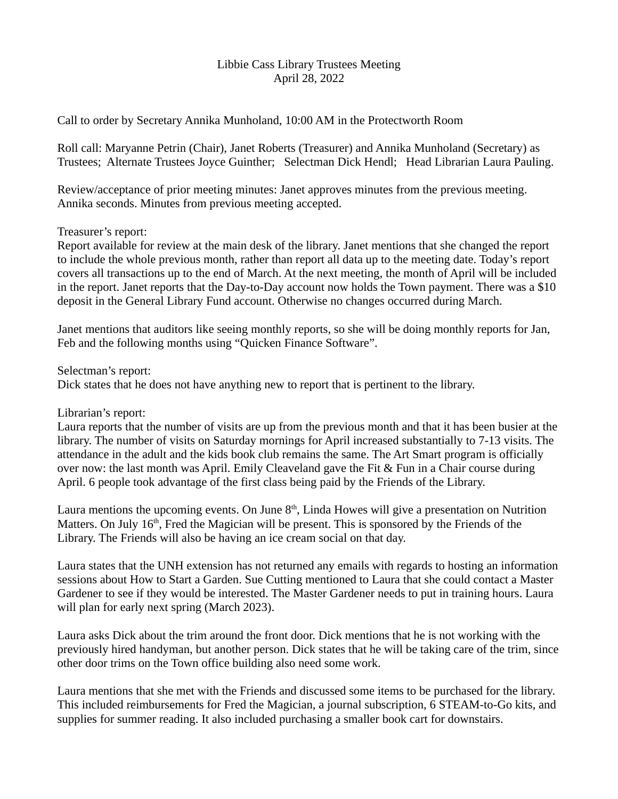## Libbie Cass Library Trustees Meeting April 28, 2022

Call to order by Secretary Annika Munholand, 10:00 AM in the Protectworth Room

Roll call: Maryanne Petrin (Chair), Janet Roberts (Treasurer) and Annika Munholand (Secretary) as Trustees; Alternate Trustees Joyce Guinther; Selectman Dick Hendl; Head Librarian Laura Pauling.

Review/acceptance of prior meeting minutes: Janet approves minutes from the previous meeting. Annika seconds. Minutes from previous meeting accepted.

## Treasurer's report:

Report available for review at the main desk of the library. Janet mentions that she changed the report to include the whole previous month, rather than report all data up to the meeting date. Today's report covers all transactions up to the end of March. At the next meeting, the month of April will be included in the report. Janet reports that the Day-to-Day account now holds the Town payment. There was a \$10 deposit in the General Library Fund account. Otherwise no changes occurred during March.

Janet mentions that auditors like seeing monthly reports, so she will be doing monthly reports for Jan, Feb and the following months using "Quicken Finance Software".

Selectman's report:

Dick states that he does not have anything new to report that is pertinent to the library.

Librarian's report:

Laura reports that the number of visits are up from the previous month and that it has been busier at the library. The number of visits on Saturday mornings for April increased substantially to 7-13 visits. The attendance in the adult and the kids book club remains the same. The Art Smart program is officially over now: the last month was April. Emily Cleaveland gave the Fit & Fun in a Chair course during April. 6 people took advantage of the first class being paid by the Friends of the Library.

Laura mentions the upcoming events. On June  $8<sup>th</sup>$ , Linda Howes will give a presentation on Nutrition Matters. On July 16<sup>th</sup>, Fred the Magician will be present. This is sponsored by the Friends of the Library. The Friends will also be having an ice cream social on that day.

Laura states that the UNH extension has not returned any emails with regards to hosting an information sessions about How to Start a Garden. Sue Cutting mentioned to Laura that she could contact a Master Gardener to see if they would be interested. The Master Gardener needs to put in training hours. Laura will plan for early next spring (March 2023).

Laura asks Dick about the trim around the front door. Dick mentions that he is not working with the previously hired handyman, but another person. Dick states that he will be taking care of the trim, since other door trims on the Town office building also need some work.

Laura mentions that she met with the Friends and discussed some items to be purchased for the library. This included reimbursements for Fred the Magician, a journal subscription, 6 STEAM-to-Go kits, and supplies for summer reading. It also included purchasing a smaller book cart for downstairs.